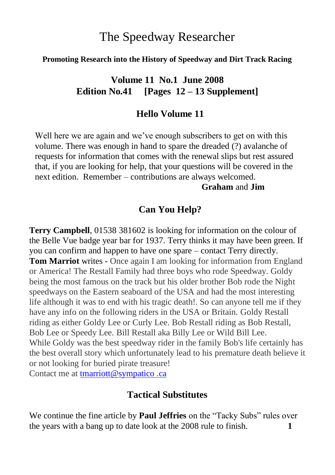# The Speedway Researcher

#### **Promoting Research into the History of Speedway and Dirt Track Racing**

## **Volume 11 No.1 June 2008 Edition No.41 [Pages 12 – 13 Supplement]**

### **Hello Volume 11**

Well here we are again and we've enough subscribers to get on with this volume. There was enough in hand to spare the dreaded (?) avalanche of requests for information that comes with the renewal slips but rest assured that, if you are looking for help, that your questions will be covered in the next edition. Remember – contributions are always welcomed.

#### **Graham** and **Jim**

### **Can You Help?**

**Terry Campbell**, 01538 381602 is looking for information on the colour of the Belle Vue badge year bar for 1937. Terry thinks it may have been green. If you can confirm and happen to have one spare – contact Terry directly. **Tom Marriot** writes - Once again I am looking for information from England or America! The Restall Family had three boys who rode Speedway. Goldy being the most famous on the track but his older brother Bob rode the Night speedways on the Eastern seaboard of the USA and had the most interesting life although it was to end with his tragic death!. So can anyone tell me if they have any info on the following riders in the USA or Britain. Goldy Restall riding as either Goldy Lee or Curly Lee. Bob Restall riding as Bob Restall, Bob Lee or Speedy Lee. Bill Restall aka Billy Lee or Wild Bill Lee. While Goldy was the best speedway rider in the family Bob's life certainly has the best overall story which unfortunately lead to his premature death believe it or not looking for buried pirate treasure!

Contact me at [tmarriott@sympatico .ca](http://uk.f256.mail.yahoo.com/ym/Compose?To=tmarriott%40sympatico.ca)

### **Tactical Substitutes**

We continue the fine article by **Paul Jeffries** on the "Tacky Subs" rules over the years with a bang up to date look at the 2008 rule to finish. **1**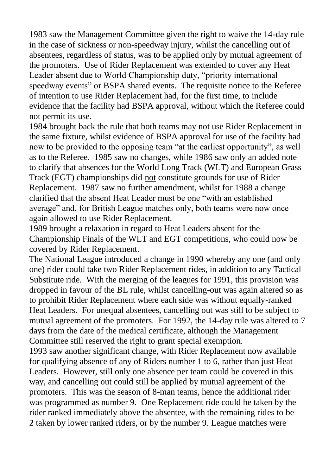1983 saw the Management Committee given the right to waive the 14-day rule in the case of sickness or non-speedway injury, whilst the cancelling out of absentees, regardless of status, was to be applied only by mutual agreement of the promoters. Use of Rider Replacement was extended to cover any Heat Leader absent due to World Championship duty, "priority international speedway events" or BSPA shared events. The requisite notice to the Referee of intention to use Rider Replacement had, for the first time, to include evidence that the facility had BSPA approval, without which the Referee could not permit its use.

1984 brought back the rule that both teams may not use Rider Replacement in the same fixture, whilst evidence of BSPA approval for use of the facility had now to be provided to the opposing team "at the earliest opportunity", as well as to the Referee. 1985 saw no changes, while 1986 saw only an added note to clarify that absences for the World Long Track (WLT) and European Grass Track (EGT) championships did not constitute grounds for use of Rider Replacement. 1987 saw no further amendment, whilst for 1988 a change clarified that the absent Heat Leader must be one "with an established average" and, for British League matches only, both teams were now once again allowed to use Rider Replacement.

1989 brought a relaxation in regard to Heat Leaders absent for the Championship Finals of the WLT and EGT competitions, who could now be covered by Rider Replacement.

The National League introduced a change in 1990 whereby any one (and only one) rider could take two Rider Replacement rides, in addition to any Tactical Substitute ride. With the merging of the leagues for 1991, this provision was dropped in favour of the BL rule, whilst cancelling-out was again altered so as to prohibit Rider Replacement where each side was without equally-ranked Heat Leaders. For unequal absentees, cancelling out was still to be subject to mutual agreement of the promoters. For 1992, the 14-day rule was altered to 7 days from the date of the medical certificate, although the Management Committee still reserved the right to grant special exemption.

1993 saw another significant change, with Rider Replacement now available for qualifying absence of any of Riders number 1 to 6, rather than just Heat Leaders. However, still only one absence per team could be covered in this way, and cancelling out could still be applied by mutual agreement of the promoters. This was the season of 8-man teams, hence the additional rider was programmed as number 9. One Replacement ride could be taken by the rider ranked immediately above the absentee, with the remaining rides to be **2** taken by lower ranked riders, or by the number 9. League matches were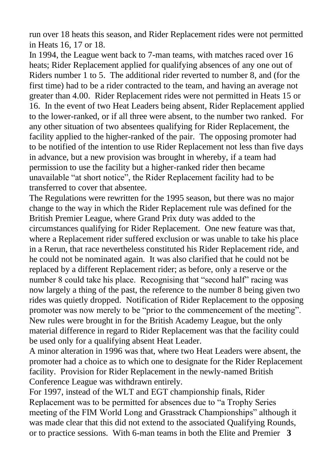run over 18 heats this season, and Rider Replacement rides were not permitted in Heats 16, 17 or 18.

In 1994, the League went back to 7-man teams, with matches raced over 16 heats; Rider Replacement applied for qualifying absences of any one out of Riders number 1 to 5. The additional rider reverted to number 8, and (for the first time) had to be a rider contracted to the team, and having an average not greater than 4.00. Rider Replacement rides were not permitted in Heats 15 or 16. In the event of two Heat Leaders being absent, Rider Replacement applied to the lower-ranked, or if all three were absent, to the number two ranked. For any other situation of two absentees qualifying for Rider Replacement, the facility applied to the higher-ranked of the pair. The opposing promoter had to be notified of the intention to use Rider Replacement not less than five days in advance, but a new provision was brought in whereby, if a team had permission to use the facility but a higher-ranked rider then became unavailable "at short notice", the Rider Replacement facility had to be transferred to cover that absentee.

The Regulations were rewritten for the 1995 season, but there was no major change to the way in which the Rider Replacement rule was defined for the British Premier League, where Grand Prix duty was added to the circumstances qualifying for Rider Replacement. One new feature was that, where a Replacement rider suffered exclusion or was unable to take his place in a Rerun, that race nevertheless constituted his Rider Replacement ride, and he could not be nominated again. It was also clarified that he could not be replaced by a different Replacement rider; as before, only a reserve or the number 8 could take his place. Recognising that "second half" racing was now largely a thing of the past, the reference to the number 8 being given two rides was quietly dropped. Notification of Rider Replacement to the opposing promoter was now merely to be "prior to the commencement of the meeting". New rules were brought in for the British Academy League, but the only material difference in regard to Rider Replacement was that the facility could be used only for a qualifying absent Heat Leader.

A minor alteration in 1996 was that, where two Heat Leaders were absent, the promoter had a choice as to which one to designate for the Rider Replacement facility. Provision for Rider Replacement in the newly-named British Conference League was withdrawn entirely.

For 1997, instead of the WLT and EGT championship finals, Rider Replacement was to be permitted for absences due to "a Trophy Series meeting of the FIM World Long and Grasstrack Championships" although it was made clear that this did not extend to the associated Qualifying Rounds, or to practice sessions. With 6-man teams in both the Elite and Premier **3**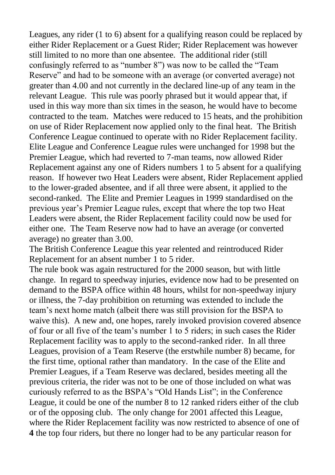Leagues, any rider (1 to 6) absent for a qualifying reason could be replaced by either Rider Replacement or a Guest Rider; Rider Replacement was however still limited to no more than one absentee. The additional rider (still confusingly referred to as "number 8") was now to be called the "Team Reserve" and had to be someone with an average (or converted average) not greater than 4.00 and not currently in the declared line-up of any team in the relevant League. This rule was poorly phrased but it would appear that, if used in this way more than six times in the season, he would have to become contracted to the team. Matches were reduced to 15 heats, and the prohibition on use of Rider Replacement now applied only to the final heat. The British Conference League continued to operate with no Rider Replacement facility. Elite League and Conference League rules were unchanged for 1998 but the Premier League, which had reverted to 7-man teams, now allowed Rider Replacement against any one of Riders numbers 1 to 5 absent for a qualifying reason. If however two Heat Leaders were absent, Rider Replacement applied to the lower-graded absentee, and if all three were absent, it applied to the second-ranked. The Elite and Premier Leagues in 1999 standardised on the previous year"s Premier League rules, except that where the top two Heat Leaders were absent, the Rider Replacement facility could now be used for either one. The Team Reserve now had to have an average (or converted average) no greater than 3.00.

The British Conference League this year relented and reintroduced Rider Replacement for an absent number 1 to 5 rider.

The rule book was again restructured for the 2000 season, but with little change. In regard to speedway injuries, evidence now had to be presented on demand to the BSPA office within 48 hours, whilst for non-speedway injury or illness, the 7-day prohibition on returning was extended to include the team"s next home match (albeit there was still provision for the BSPA to waive this). A new and, one hopes, rarely invoked provision covered absence of four or all five of the team"s number 1 to 5 riders; in such cases the Rider Replacement facility was to apply to the second-ranked rider. In all three Leagues, provision of a Team Reserve (the erstwhile number 8) became, for the first time, optional rather than mandatory. In the case of the Elite and Premier Leagues, if a Team Reserve was declared, besides meeting all the previous criteria, the rider was not to be one of those included on what was curiously referred to as the BSPA"s "Old Hands List"; in the Conference League, it could be one of the number 8 to 12 ranked riders either of the club or of the opposing club. The only change for 2001 affected this League, where the Rider Replacement facility was now restricted to absence of one of **4** the top four riders, but there no longer had to be any particular reason for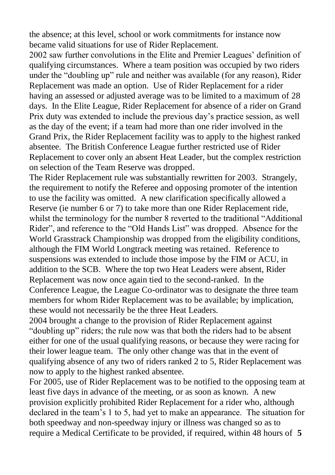the absence; at this level, school or work commitments for instance now became valid situations for use of Rider Replacement.

2002 saw further convolutions in the Elite and Premier Leagues' definition of qualifying circumstances. Where a team position was occupied by two riders under the "doubling up" rule and neither was available (for any reason), Rider Replacement was made an option. Use of Rider Replacement for a rider having an assessed or adjusted average was to be limited to a maximum of 28 days. In the Elite League, Rider Replacement for absence of a rider on Grand Prix duty was extended to include the previous day"s practice session, as well as the day of the event; if a team had more than one rider involved in the Grand Prix, the Rider Replacement facility was to apply to the highest ranked absentee. The British Conference League further restricted use of Rider Replacement to cover only an absent Heat Leader, but the complex restriction on selection of the Team Reserve was dropped.

The Rider Replacement rule was substantially rewritten for 2003. Strangely, the requirement to notify the Referee and opposing promoter of the intention to use the facility was omitted. A new clarification specifically allowed a Reserve (ie number 6 or 7) to take more than one Rider Replacement ride, whilst the terminology for the number 8 reverted to the traditional "Additional Rider", and reference to the "Old Hands List" was dropped. Absence for the World Grasstrack Championship was dropped from the eligibility conditions, although the FIM World Longtrack meeting was retained. Reference to suspensions was extended to include those impose by the FIM or ACU, in addition to the SCB. Where the top two Heat Leaders were absent, Rider Replacement was now once again tied to the second-ranked. In the Conference League, the League Co-ordinator was to designate the three team members for whom Rider Replacement was to be available; by implication, these would not necessarily be the three Heat Leaders.

2004 brought a change to the provision of Rider Replacement against "doubling up" riders; the rule now was that both the riders had to be absent either for one of the usual qualifying reasons, or because they were racing for their lower league team. The only other change was that in the event of qualifying absence of any two of riders ranked 2 to 5, Rider Replacement was now to apply to the highest ranked absentee.

For 2005, use of Rider Replacement was to be notified to the opposing team at least five days in advance of the meeting, or as soon as known. A new provision explicitly prohibited Rider Replacement for a rider who, although declared in the team"s 1 to 5, had yet to make an appearance. The situation for both speedway and non-speedway injury or illness was changed so as to require a Medical Certificate to be provided, if required, within 48 hours of **5**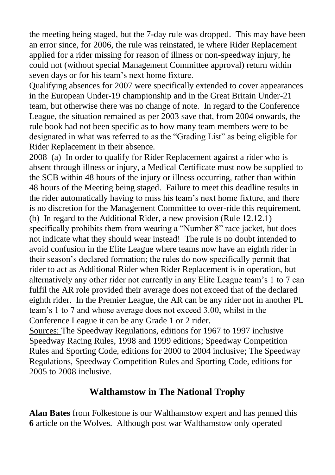the meeting being staged, but the 7-day rule was dropped. This may have been an error since, for 2006, the rule was reinstated, ie where Rider Replacement applied for a rider missing for reason of illness or non-speedway injury, he could not (without special Management Committee approval) return within seven days or for his team"s next home fixture.

Qualifying absences for 2007 were specifically extended to cover appearances in the European Under-19 championship and in the Great Britain Under-21 team, but otherwise there was no change of note. In regard to the Conference League, the situation remained as per 2003 save that, from 2004 onwards, the rule book had not been specific as to how many team members were to be designated in what was referred to as the "Grading List" as being eligible for Rider Replacement in their absence.

2008 (a) In order to qualify for Rider Replacement against a rider who is absent through illness or injury, a Medical Certificate must now be supplied to the SCB within 48 hours of the injury or illness occurring, rather than within 48 hours of the Meeting being staged. Failure to meet this deadline results in the rider automatically having to miss his team"s next home fixture, and there is no discretion for the Management Committee to over-ride this requirement. (b) In regard to the Additional Rider, a new provision (Rule 12.12.1) specifically prohibits them from wearing a "Number 8" race jacket, but does not indicate what they should wear instead! The rule is no doubt intended to avoid confusion in the Elite League where teams now have an eighth rider in their season"s declared formation; the rules do now specifically permit that rider to act as Additional Rider when Rider Replacement is in operation, but alternatively any other rider not currently in any Elite League team"s 1 to 7 can fulfil the AR role provided their average does not exceed that of the declared eighth rider. In the Premier League, the AR can be any rider not in another PL team"s 1 to 7 and whose average does not exceed 3.00, whilst in the Conference League it can be any Grade 1 or 2 rider.

Sources: The Speedway Regulations, editions for 1967 to 1997 inclusive Speedway Racing Rules, 1998 and 1999 editions; Speedway Competition Rules and Sporting Code, editions for 2000 to 2004 inclusive; The Speedway Regulations, Speedway Competition Rules and Sporting Code, editions for 2005 to 2008 inclusive.

## **Walthamstow in The National Trophy**

**Alan Bates** from Folkestone is our Walthamstow expert and has penned this **6** article on the Wolves. Although post war Walthamstow only operated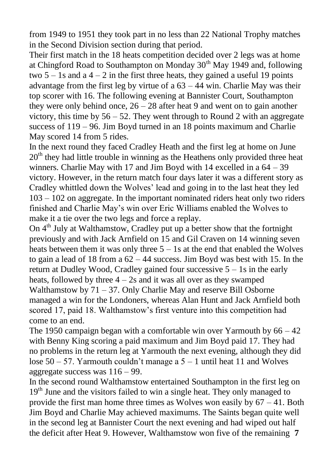from 1949 to 1951 they took part in no less than 22 National Trophy matches in the Second Division section during that period.

Their first match in the 18 heats competition decided over 2 legs was at home at Chingford Road to Southampton on Monday  $30<sup>th</sup>$  May 1949 and, following two  $5 - 1$ s and a  $4 - 2$  in the first three heats, they gained a useful 19 points advantage from the first leg by virtue of a  $63 - 44$  win. Charlie May was their top scorer with 16. The following evening at Bannister Court, Southampton they were only behind once,  $26 - 28$  after heat 9 and went on to gain another victory, this time by  $56 - 52$ . They went through to Round 2 with an aggregate success of 119 – 96. Jim Boyd turned in an 18 points maximum and Charlie May scored 14 from 5 rides.

In the next round they faced Cradley Heath and the first leg at home on June  $20<sup>th</sup>$  they had little trouble in winning as the Heathens only provided three heat winners. Charlie May with 17 and Jim Boyd with 14 excelled in a 64 – 39 victory. However, in the return match four days later it was a different story as Cradley whittled down the Wolves" lead and going in to the last heat they led 103 – 102 on aggregate. In the important nominated riders heat only two riders finished and Charlie May"s win over Eric Williams enabled the Wolves to make it a tie over the two legs and force a replay.

On  $4<sup>th</sup>$  July at Walthamstow, Cradley put up a better show that the fortnight previously and with Jack Arnfield on 15 and Gil Craven on 14 winning seven heats between them it was only three 5 – 1s at the end that enabled the Wolves to gain a lead of 18 from a 62 – 44 success. Jim Boyd was best with 15. In the return at Dudley Wood, Cradley gained four successive 5 – 1s in the early heats, followed by three  $4 - 2s$  and it was all over as they swamped Walthamstow by 71 – 37. Only Charlie May and reserve Bill Osborne managed a win for the Londoners, whereas Alan Hunt and Jack Arnfield both scored 17, paid 18. Walthamstow"s first venture into this competition had come to an end.

The 1950 campaign began with a comfortable win over Yarmouth by  $66 - 42$ with Benny King scoring a paid maximum and Jim Boyd paid 17. They had no problems in the return leg at Yarmouth the next evening, although they did lose  $50 - 57$ . Yarmouth couldn't manage a  $5 - 1$  until heat 11 and Wolves aggregate success was 116 – 99.

In the second round Walthamstow entertained Southampton in the first leg on 19<sup>th</sup> June and the visitors failed to win a single heat. They only managed to provide the first man home three times as Wolves won easily by  $67 - 41$ . Both Jim Boyd and Charlie May achieved maximums. The Saints began quite well in the second leg at Bannister Court the next evening and had wiped out half the deficit after Heat 9. However, Walthamstow won five of the remaining **7**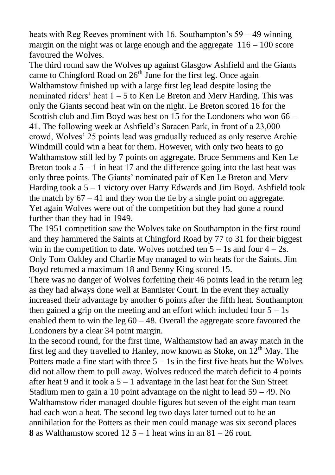heats with Reg Reeves prominent with 16. Southampton's  $59 - 49$  winning margin on the night was ot large enough and the aggregate  $116 - 100$  score favoured the Wolves.

The third round saw the Wolves up against Glasgow Ashfield and the Giants came to Chingford Road on  $26<sup>th</sup>$  June for the first leg. Once again Walthamstow finished up with a large first leg lead despite losing the nominated riders' heat  $1 - 5$  to Ken Le Breton and Merv Harding. This was only the Giants second heat win on the night. Le Breton scored 16 for the Scottish club and Jim Boyd was best on 15 for the Londoners who won 66 – 41. The following week at Ashfield"s Saracen Park, in front of a 23,000 crowd, Wolves" 25 points lead was gradually reduced as only reserve Archie Windmill could win a heat for them. However, with only two heats to go Walthamstow still led by 7 points on aggregate. Bruce Semmens and Ken Le Breton took a  $5 - 1$  in heat 17 and the difference going into the last heat was only three points. The Giants" nominated pair of Ken Le Breton and Merv Harding took a  $5 - 1$  victory over Harry Edwards and Jim Boyd. Ashfield took the match by  $67 - 41$  and they won the tie by a single point on aggregate. Yet again Wolves were out of the competition but they had gone a round further than they had in 1949.

The 1951 competition saw the Wolves take on Southampton in the first round and they hammered the Saints at Chingford Road by 77 to 31 for their biggest win in the competition to date. Wolves notched ten  $5 - 1s$  and four  $4 - 2s$ . Only Tom Oakley and Charlie May managed to win heats for the Saints. Jim Boyd returned a maximum 18 and Benny King scored 15.

There was no danger of Wolves forfeiting their 46 points lead in the return leg as they had always done well at Bannister Court. In the event they actually increased their advantage by another 6 points after the fifth heat. Southampton then gained a grip on the meeting and an effort which included four  $5 - 1s$ enabled them to win the leg  $60 - 48$ . Overall the aggregate score favoured the Londoners by a clear 34 point margin.

In the second round, for the first time, Walthamstow had an away match in the first leg and they travelled to Hanley, now known as Stoke, on  $12<sup>th</sup>$  May. The Potters made a fine start with three  $5 - 1s$  in the first five heats but the Wolves did not allow them to pull away. Wolves reduced the match deficit to 4 points after heat 9 and it took a 5 – 1 advantage in the last heat for the Sun Street Stadium men to gain a 10 point advantage on the night to lead 59 – 49. No Walthamstow rider managed double figures but seven of the eight man team had each won a heat. The second leg two days later turned out to be an annihilation for the Potters as their men could manage was six second places **8** as Walthamstow scored  $12\ 5 - 1$  heat wins in an  $81 - 26$  rout.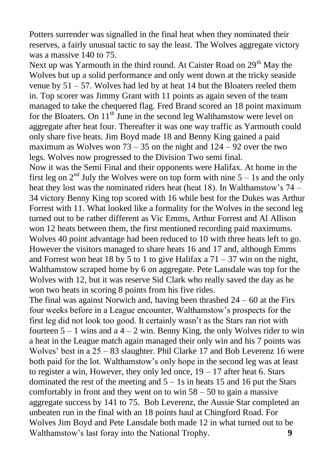Potters surrender was signalled in the final heat when they nominated their reserves, a fairly unusual tactic to say the least. The Wolves aggregate victory was a massive 140 to 75.

Next up was Yarmouth in the third round. At Caister Road on  $29<sup>th</sup>$  May the Wolves but up a solid performance and only went down at the tricky seaside venue by 51 – 57. Wolves had led by at heat 14 but the Bloaters reeled them in. Top scorer was Jimmy Grant with 11 points as again seven of the team managed to take the chequered flag. Fred Brand scored an 18 point maximum for the Bloaters. On  $11<sup>th</sup>$  June in the second leg Walthamstow were level on aggregate after heat four. Thereafter it was one way traffic as Yarmouth could only share five heats. Jim Boyd made 18 and Benny King gained a paid maximum as Wolves won  $73 - 35$  on the night and  $124 - 92$  over the two legs. Wolves now progressed to the Division Two semi final.

Now it was the Semi Final and their opponents were Halifax. At home in the first leg on  $2<sup>nd</sup>$  July the Wolves were on top form with nine  $5 - 1s$  and the only heat they lost was the nominated riders heat (heat 18). In Walthamstow's 74 – 34 victory Benny King top scored with 16 while best for the Dukes was Arthur Forrest with 11. What looked like a formality for the Wolves in the second leg turned out to be rather different as Vic Emms, Arthur Forrest and Al Allison won 12 heats between them, the first mentioned recording paid maximums. Wolves 40 point advantage had been reduced to 10 with three heats left to go. However the visitors managed to share heats 16 and 17 and, although Emms and Forrest won heat 18 by 5 to 1 to give Halifax a  $71 - 37$  win on the night, Walthamstow scraped home by 6 on aggregate. Pete Lansdale was top for the Wolves with 12, but it was reserve Sid Clark who really saved the day as he won two heats in scoring 8 points from his five rides.

The final was against Norwich and, having been thrashed  $24 - 60$  at the Firs four weeks before in a League encounter, Walthamstow"s prospects for the first leg did not look too good. It certainly wasn"t as the Stars ran riot with fourteen  $5 - 1$  wins and a  $4 - 2$  win. Benny King, the only Wolves rider to win a heat in the League match again managed their only win and his 7 points was Wolves' best in a 25 – 83 slaughter. Phil Clarke 17 and Bob Leverenz 16 were both paid for the lot. Walthamstow"s only hope in the second leg was at least to register a win, However, they only led once,  $19 - 17$  after heat 6. Stars dominated the rest of the meeting and  $5 - 1s$  in heats 15 and 16 put the Stars comfortably in front and they went on to win  $58 - 50$  to gain a massive aggregate success by 141 to 75. Bob Leverenz, the Aussie Star completed an unbeaten run in the final with an 18 points haul at Chingford Road. For Wolves Jim Boyd and Pete Lansdale both made 12 in what turned out to be Walthamstow"s last foray into the National Trophy. **9**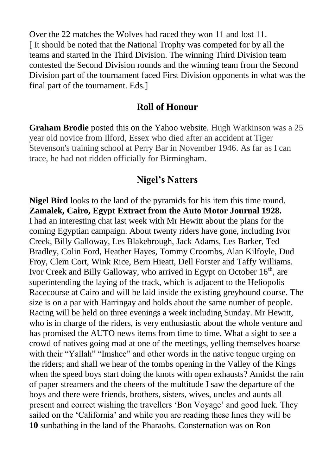Over the 22 matches the Wolves had raced they won 11 and lost 11. [ It should be noted that the National Trophy was competed for by all the teams and started in the Third Division. The winning Third Division team contested the Second Division rounds and the winning team from the Second Division part of the tournament faced First Division opponents in what was the final part of the tournament. Eds.]

### **Roll of Honour**

**Graham Brodie** posted this on the Yahoo website. Hugh Watkinson was a 25 year old novice from Ilford, Essex who died after an accident at Tiger Stevenson's training school at Perry Bar in November 1946. As far as I can trace, he had not ridden officially for Birmingham.

### **Nigel's Natters**

**Nigel Bird** looks to the land of the pyramids for his item this time round. **Zamalek, Cairo, Egypt Extract from the Auto Motor Journal 1928.**  I had an interesting chat last week with Mr Hewitt about the plans for the coming Egyptian campaign. About twenty riders have gone, including Ivor Creek, Billy Galloway, Les Blakebrough, Jack Adams, Les Barker, Ted Bradley, Colin Ford, Heather Hayes, Tommy Croombs, Alan Kilfoyle, Dud Froy, Clem Cort, Wink Rice, Bern Hieatt, Dell Forster and Taffy Williams. Ivor Creek and Billy Galloway, who arrived in Egypt on October  $16<sup>th</sup>$ , are superintending the laying of the track, which is adjacent to the Heliopolis Racecourse at Cairo and will be laid inside the existing greyhound course. The size is on a par with Harringay and holds about the same number of people. Racing will be held on three evenings a week including Sunday. Mr Hewitt, who is in charge of the riders, is very enthusiastic about the whole venture and has promised the AUTO news items from time to time. What a sight to see a crowd of natives going mad at one of the meetings, yelling themselves hoarse with their "Yallah" "Imshee" and other words in the native tongue urging on the riders; and shall we hear of the tombs opening in the Valley of the Kings when the speed boys start doing the knots with open exhausts? Amidst the rain of paper streamers and the cheers of the multitude I saw the departure of the boys and there were friends, brothers, sisters, wives, uncles and aunts all present and correct wishing the travellers "Bon Voyage" and good luck. They sailed on the 'California' and while you are reading these lines they will be **10** sunbathing in the land of the Pharaohs. Consternation was on Ron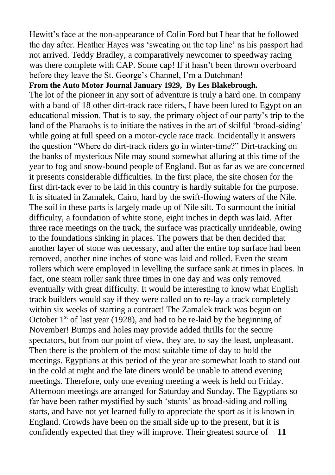Hewitt's face at the non-appearance of Colin Ford but I hear that he followed the day after. Heather Hayes was "sweating on the top line" as his passport had not arrived. Teddy Bradley, a comparatively newcomer to speedway racing was there complete with CAP. Some cap! If it hasn't been thrown overboard before they leave the St. George's Channel, I'm a Dutchman!

#### **From the Auto Motor Journal January 1929, By Les Blakebrough.**

The lot of the pioneer in any sort of adventure is truly a hard one. In company with a band of 18 other dirt-track race riders, I have been lured to Egypt on an educational mission. That is to say, the primary object of our party"s trip to the land of the Pharaohs is to initiate the natives in the art of skilful 'broad-siding' while going at full speed on a motor-cycle race track. Incidentally it answers the question "Where do dirt-track riders go in winter-time?" Dirt-tracking on the banks of mysterious Nile may sound somewhat alluring at this time of the year to fog and snow-bound people of England. But as far as we are concerned it presents considerable difficulties. In the first place, the site chosen for the first dirt-tack ever to be laid in this country is hardly suitable for the purpose. It is situated in Zamalek, Cairo, hard by the swift-flowing waters of the Nile. The soil in these parts is largely made up of Nile silt. To surmount the initial difficulty, a foundation of white stone, eight inches in depth was laid. After three race meetings on the track, the surface was practically unrideable, owing to the foundations sinking in places. The powers that be then decided that another layer of stone was necessary, and after the entire top surface had been removed, another nine inches of stone was laid and rolled. Even the steam rollers which were employed in levelling the surface sank at times in places. In fact, one steam roller sank three times in one day and was only removed eventually with great difficulty. It would be interesting to know what English track builders would say if they were called on to re-lay a track completely within six weeks of starting a contract! The Zamalek track was begun on October  $1<sup>st</sup>$  of last year (1928), and had to be re-laid by the beginning of November! Bumps and holes may provide added thrills for the secure spectators, but from our point of view, they are, to say the least, unpleasant. Then there is the problem of the most suitable time of day to hold the meetings. Egyptians at this period of the year are somewhat loath to stand out in the cold at night and the late diners would be unable to attend evening meetings. Therefore, only one evening meeting a week is held on Friday. Afternoon meetings are arranged for Saturday and Sunday. The Egyptians so far have been rather mystified by such "stunts" as broad-siding and rolling starts, and have not yet learned fully to appreciate the sport as it is known in England. Crowds have been on the small side up to the present, but it is confidently expected that they will improve. Their greatest source of **11**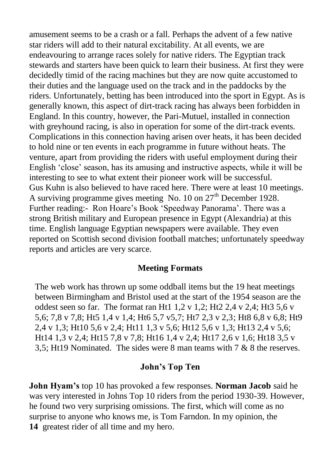amusement seems to be a crash or a fall. Perhaps the advent of a few native star riders will add to their natural excitability. At all events, we are endeavouring to arrange races solely for native riders. The Egyptian track stewards and starters have been quick to learn their business. At first they were decidedly timid of the racing machines but they are now quite accustomed to their duties and the language used on the track and in the paddocks by the riders. Unfortunately, betting has been introduced into the sport in Egypt. As is generally known, this aspect of dirt-track racing has always been forbidden in England. In this country, however, the Pari-Mutuel, installed in connection with greyhound racing, is also in operation for some of the dirt-track events. Complications in this connection having arisen over heats, it has been decided to hold nine or ten events in each programme in future without heats. The venture, apart from providing the riders with useful employment during their English "close" season, has its amusing and instructive aspects, while it will be interesting to see to what extent their pioneer work will be successful. Gus Kuhn is also believed to have raced here. There were at least 10 meetings. A surviving programme gives meeting No. 10 on  $27<sup>th</sup>$  December 1928. Further reading:- Ron Hoare's Book 'Speedway Panorama'. There was a strong British military and European presence in Egypt (Alexandria) at this time. English language Egyptian newspapers were available. They even reported on Scottish second division football matches; unfortunately speedway reports and articles are very scarce.

### **Meeting Formats**

The web work has thrown up some oddball items but the 19 heat meetings between Birmingham and Bristol used at the start of the 1954 season are the oddest seen so far. The format ran Ht1  $1.2$  v  $1.2$ ; Ht2  $2.4$  v  $2.4$ ; Ht3  $5.6$  v 5,6; 7,8 v 7,8; Ht5 1,4 v 1,4; Ht6 5,7 v5,7; Ht7 2,3 v 2,3; Ht8 6,8 v 6,8; Ht9 2,4 v 1,3; Ht10 5,6 v 2,4; Ht11 1,3 v 5,6; Ht12 5,6 v 1,3; Ht13 2,4 v 5,6; Ht14 1,3 v 2,4; Ht15 7,8 v 7,8; Ht16 1,4 v 2,4; Ht17 2,6 v 1,6; Ht18 3,5 v 3,5; Ht19 Nominated. The sides were 8 man teams with 7 & 8 the reserves.

### **John's Top Ten**

**John Hyam's** top 10 has provoked a few responses. **Norman Jacob** said he was very interested in Johns Top 10 riders from the period 1930-39. However, he found two very surprising omissions. The first, which will come as no surprise to anyone who knows me, is Tom Farndon. In my opinion, the **14** greatest rider of all time and my hero.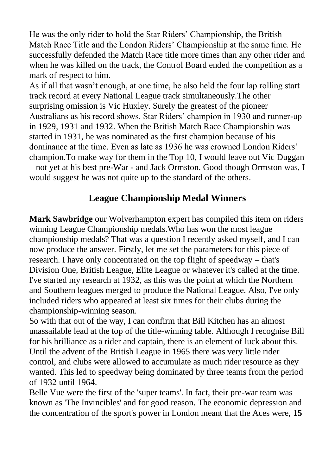He was the only rider to hold the Star Riders" Championship, the British Match Race Title and the London Riders" Championship at the same time. He successfully defended the Match Race title more times than any other rider and when he was killed on the track, the Control Board ended the competition as a mark of respect to him.

As if all that wasn"t enough, at one time, he also held the four lap rolling start track record at every National League track simultaneously.The other surprising omission is Vic Huxley. Surely the greatest of the pioneer Australians as his record shows. Star Riders" champion in 1930 and runner-up in 1929, 1931 and 1932. When the British Match Race Championship was started in 1931, he was nominated as the first champion because of his dominance at the time. Even as late as 1936 he was crowned London Riders' champion.To make way for them in the Top 10, I would leave out Vic Duggan – not yet at his best pre-War - and Jack Ormston. Good though Ormston was, I would suggest he was not quite up to the standard of the others.

# **League Championship Medal Winners**

**Mark Sawbridge** our Wolverhampton expert has compiled this item on riders winning League Championship medals.Who has won the most league championship medals? That was a question I recently asked myself, and I can now produce the answer. Firstly, let me set the parameters for this piece of research. I have only concentrated on the top flight of speedway – that's Division One, British League, Elite League or whatever it's called at the time. I've started my research at 1932, as this was the point at which the Northern and Southern leagues merged to produce the National League. Also, I've only included riders who appeared at least six times for their clubs during the championship-winning season.

So with that out of the way, I can confirm that Bill Kitchen has an almost unassailable lead at the top of the title-winning table. Although I recognise Bill for his brilliance as a rider and captain, there is an element of luck about this. Until the advent of the British League in 1965 there was very little rider control, and clubs were allowed to accumulate as much rider resource as they wanted. This led to speedway being dominated by three teams from the period of 1932 until 1964.

Belle Vue were the first of the 'super teams'. In fact, their pre-war team was known as 'The Invincibles' and for good reason. The economic depression and the concentration of the sport's power in London meant that the Aces were, **15**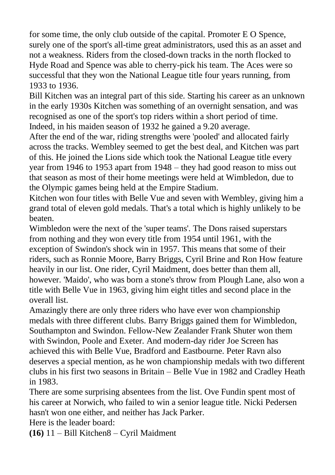for some time, the only club outside of the capital. Promoter E O Spence, surely one of the sport's all-time great administrators, used this as an asset and not a weakness. Riders from the closed-down tracks in the north flocked to Hyde Road and Spence was able to cherry-pick his team. The Aces were so successful that they won the National League title four years running, from 1933 to 1936.

Bill Kitchen was an integral part of this side. Starting his career as an unknown in the early 1930s Kitchen was something of an overnight sensation, and was recognised as one of the sport's top riders within a short period of time. Indeed, in his maiden season of 1932 he gained a 9.20 average.

After the end of the war, riding strengths were 'pooled' and allocated fairly across the tracks. Wembley seemed to get the best deal, and Kitchen was part of this. He joined the Lions side which took the National League title every year from 1946 to 1953 apart from 1948 – they had good reason to miss out that season as most of their home meetings were held at Wimbledon, due to the Olympic games being held at the Empire Stadium.

Kitchen won four titles with Belle Vue and seven with Wembley, giving him a grand total of eleven gold medals. That's a total which is highly unlikely to be beaten.

Wimbledon were the next of the 'super teams'. The Dons raised superstars from nothing and they won every title from 1954 until 1961, with the exception of Swindon's shock win in 1957. This means that some of their riders, such as Ronnie Moore, Barry Briggs, Cyril Brine and Ron How feature heavily in our list. One rider, Cyril Maidment, does better than them all, however. 'Maido', who was born a stone's throw from Plough Lane, also won a title with Belle Vue in 1963, giving him eight titles and second place in the overall list.

Amazingly there are only three riders who have ever won championship medals with three different clubs. Barry Briggs gained them for Wimbledon, Southampton and Swindon. Fellow-New Zealander Frank Shuter won them with Swindon, Poole and Exeter. And modern-day rider Joe Screen has achieved this with Belle Vue, Bradford and Eastbourne. Peter Ravn also deserves a special mention, as he won championship medals with two different clubs in his first two seasons in Britain – Belle Vue in 1982 and Cradley Heath in 1983.

There are some surprising absentees from the list. Ove Fundin spent most of his career at Norwich, who failed to win a senior league title. Nicki Pedersen hasn't won one either, and neither has Jack Parker.

Here is the leader board:

**(16)** 11 – Bill Kitchen8 – Cyril Maidment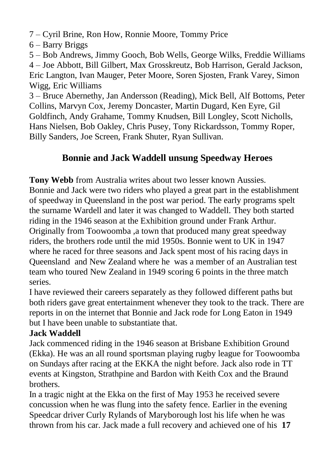7 – Cyril Brine, Ron How, Ronnie Moore, Tommy Price

6 – Barry Briggs

5 – Bob Andrews, Jimmy Gooch, Bob Wells, George Wilks, Freddie Williams 4 – Joe Abbott, Bill Gilbert, Max Grosskreutz, Bob Harrison, Gerald Jackson, Eric Langton, Ivan Mauger, Peter Moore, Soren Sjosten, Frank Varey, Simon Wigg, Eric Williams

3 – Bruce Abernethy, Jan Andersson (Reading), Mick Bell, Alf Bottoms, Peter Collins, Marvyn Cox, Jeremy Doncaster, Martin Dugard, Ken Eyre, Gil Goldfinch, Andy Grahame, Tommy Knudsen, Bill Longley, Scott Nicholls, Hans Nielsen, Bob Oakley, Chris Pusey, Tony Rickardsson, Tommy Roper, Billy Sanders, Joe Screen, Frank Shuter, Ryan Sullivan.

# **Bonnie and Jack Waddell unsung Speedway Heroes**

**Tony Webb** from Australia writes about two lesser known Aussies.

Bonnie and Jack were two riders who played a great part in the establishment of speedway in Queensland in the post war period. The early programs spelt the surname Wardell and later it was changed to Waddell. They both started riding in the 1946 season at the Exhibition ground under Frank Arthur. Originally from Toowoomba ,a town that produced many great speedway riders, the brothers rode until the mid 1950s. Bonnie went to UK in 1947 where he raced for three seasons and Jack spent most of his racing days in Queensland and New Zealand where he was a member of an Australian test team who toured New Zealand in 1949 scoring 6 points in the three match series.

I have reviewed their careers separately as they followed different paths but both riders gave great entertainment whenever they took to the track. There are reports in on the internet that Bonnie and Jack rode for Long Eaton in 1949 but I have been unable to substantiate that.

## **Jack Waddell**

Jack commenced riding in the 1946 season at Brisbane Exhibition Ground (Ekka). He was an all round sportsman playing rugby league for Toowoomba on Sundays after racing at the EKKA the night before. Jack also rode in TT events at Kingston, Strathpine and Bardon with Keith Cox and the Braund brothers.

In a tragic night at the Ekka on the first of May 1953 he received severe concussion when he was flung into the safety fence. Earlier in the evening Speedcar driver Curly Rylands of Maryborough lost his life when he was thrown from his car. Jack made a full recovery and achieved one of his **17**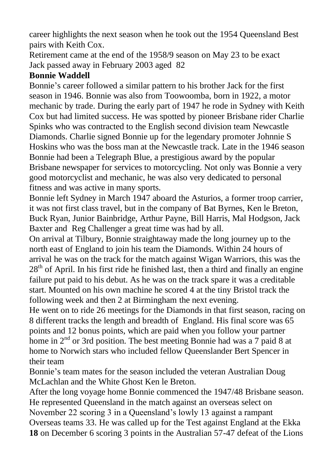career highlights the next season when he took out the 1954 Queensland Best pairs with Keith Cox.

Retirement came at the end of the 1958/9 season on May 23 to be exact Jack passed away in February 2003 aged 82

### **Bonnie Waddell**

Bonnie"s career followed a similar pattern to his brother Jack for the first season in 1946. Bonnie was also from Toowoomba, born in 1922, a motor mechanic by trade. During the early part of 1947 he rode in Sydney with Keith Cox but had limited success. He was spotted by pioneer Brisbane rider Charlie Spinks who was contracted to the English second division team Newcastle Diamonds. Charlie signed Bonnie up for the legendary promoter Johnnie S Hoskins who was the boss man at the Newcastle track. Late in the 1946 season Bonnie had been a Telegraph Blue, a prestigious award by the popular Brisbane newspaper for services to motorcycling. Not only was Bonnie a very good motorcyclist and mechanic, he was also very dedicated to personal fitness and was active in many sports.

Bonnie left Sydney in March 1947 aboard the Asturios, a former troop carrier, it was not first class travel, but in the company of Bat Byrnes, Ken le Breton, Buck Ryan, Junior Bainbridge, Arthur Payne, Bill Harris, Mal Hodgson, Jack Baxter and Reg Challenger a great time was had by all.

On arrival at Tilbury, Bonnie straightaway made the long journey up to the north east of England to join his team the Diamonds. Within 24 hours of arrival he was on the track for the match against Wigan Warriors, this was the  $28<sup>th</sup>$  of April. In his first ride he finished last, then a third and finally an engine failure put paid to his debut. As he was on the track spare it was a creditable start. Mounted on his own machine he scored 4 at the tiny Bristol track the following week and then 2 at Birmingham the next evening.

He went on to ride 26 meetings for the Diamonds in that first season, racing on 8 different tracks the length and breadth of England. His final score was 65 points and 12 bonus points, which are paid when you follow your partner home in 2<sup>nd</sup> or 3rd position. The best meeting Bonnie had was a 7 paid 8 at home to Norwich stars who included fellow Queenslander Bert Spencer in their team

Bonnie's team mates for the season included the veteran Australian Doug McLachlan and the White Ghost Ken le Breton.

After the long voyage home Bonnie commenced the 1947/48 Brisbane season. He represented Queensland in the match against an overseas select on November 22 scoring 3 in a Queensland"s lowly 13 against a rampant Overseas teams 33. He was called up for the Test against England at the Ekka **18** on December 6 scoring 3 points in the Australian 57-47 defeat of the Lions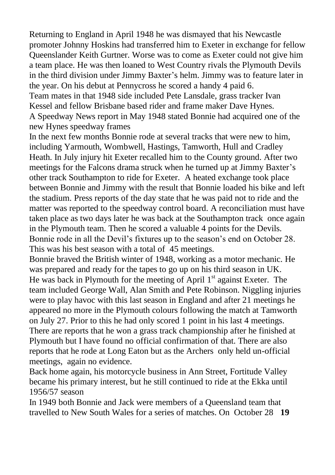Returning to England in April 1948 he was dismayed that his Newcastle promoter Johnny Hoskins had transferred him to Exeter in exchange for fellow Queenslander Keith Gurtner. Worse was to come as Exeter could not give him a team place. He was then loaned to West Country rivals the Plymouth Devils in the third division under Jimmy Baxter"s helm. Jimmy was to feature later in the year. On his debut at Pennycross he scored a handy 4 paid 6. Team mates in that 1948 side included Pete Lansdale, grass tracker Ivan

Kessel and fellow Brisbane based rider and frame maker Dave Hynes. A Speedway News report in May 1948 stated Bonnie had acquired one of the new Hynes speedway frames

In the next few months Bonnie rode at several tracks that were new to him, including Yarmouth, Wombwell, Hastings, Tamworth, Hull and Cradley Heath. In July injury hit Exeter recalled him to the County ground. After two meetings for the Falcons drama struck when he turned up at Jimmy Baxter"s other track Southampton to ride for Exeter. A heated exchange took place between Bonnie and Jimmy with the result that Bonnie loaded his bike and left the stadium. Press reports of the day state that he was paid not to ride and the matter was reported to the speedway control board. A reconciliation must have taken place as two days later he was back at the Southampton track once again in the Plymouth team. Then he scored a valuable 4 points for the Devils. Bonnie rode in all the Devil"s fixtures up to the season"s end on October 28. This was his best season with a total of 45 meetings.

Bonnie braved the British winter of 1948, working as a motor mechanic. He was prepared and ready for the tapes to go up on his third season in UK. He was back in Plymouth for the meeting of April 1<sup>st</sup> against Exeter. The team included George Wall, Alan Smith and Pete Robinson. Niggling injuries were to play havoc with this last season in England and after 21 meetings he appeared no more in the Plymouth colours following the match at Tamworth on July 27. Prior to this he had only scored 1 point in his last 4 meetings. There are reports that he won a grass track championship after he finished at Plymouth but I have found no official confirmation of that. There are also reports that he rode at Long Eaton but as the Archers only held un-official meetings, again no evidence.

Back home again, his motorcycle business in Ann Street, Fortitude Valley became his primary interest, but he still continued to ride at the Ekka until 1956/57 season

In 1949 both Bonnie and Jack were members of a Queensland team that travelled to New South Wales for a series of matches. On October 28 **19**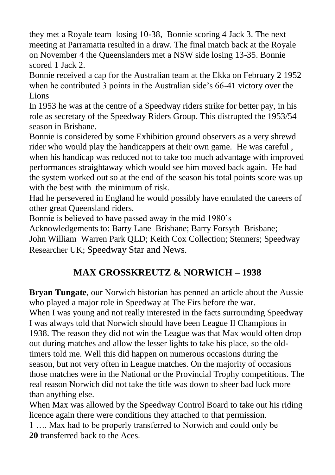they met a Royale team losing 10-38, Bonnie scoring 4 Jack 3. The next meeting at Parramatta resulted in a draw. The final match back at the Royale on November 4 the Queenslanders met a NSW side losing 13-35. Bonnie scored 1 Jack 2.

Bonnie received a cap for the Australian team at the Ekka on February 2 1952 when he contributed 3 points in the Australian side's 66-41 victory over the Lions

In 1953 he was at the centre of a Speedway riders strike for better pay, in his role as secretary of the Speedway Riders Group. This distrupted the 1953/54 season in Brisbane.

Bonnie is considered by some Exhibition ground observers as a very shrewd rider who would play the handicappers at their own game. He was careful , when his handicap was reduced not to take too much advantage with improved performances straightaway which would see him moved back again. He had the system worked out so at the end of the season his total points score was up with the best with the minimum of risk.

Had he persevered in England he would possibly have emulated the careers of other great Queensland riders.

Bonnie is believed to have passed away in the mid 1980"s

Acknowledgements to: Barry Lane Brisbane; Barry Forsyth Brisbane; John William Warren Park QLD; Keith Cox Collection; Stenners; Speedway Researcher UK; Speedway Star and News.

# **MAX GROSSKREUTZ & NORWICH – 1938**

**Bryan Tungate**, our Norwich historian has penned an article about the Aussie who played a major role in Speedway at The Firs before the war.

When I was young and not really interested in the facts surrounding Speedway I was always told that Norwich should have been League II Champions in 1938. The reason they did not win the League was that Max would often drop out during matches and allow the lesser lights to take his place, so the oldtimers told me. Well this did happen on numerous occasions during the season, but not very often in League matches. On the majority of occasions those matches were in the National or the Provincial Trophy competitions. The real reason Norwich did not take the title was down to sheer bad luck more than anything else.

When Max was allowed by the Speedway Control Board to take out his riding licence again there were conditions they attached to that permission.

1 …. Max had to be properly transferred to Norwich and could only be **20** transferred back to the Aces.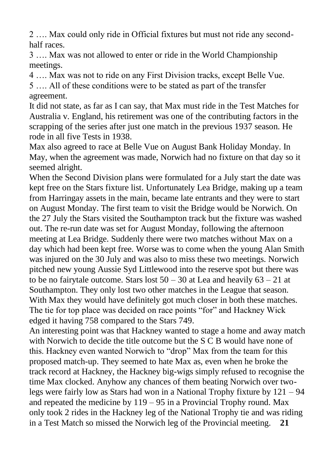2 …. Max could only ride in Official fixtures but must not ride any secondhalf races.

3 …. Max was not allowed to enter or ride in the World Championship meetings.

4 …. Max was not to ride on any First Division tracks, except Belle Vue.

5 …. All of these conditions were to be stated as part of the transfer agreement.

It did not state, as far as I can say, that Max must ride in the Test Matches for Australia v. England, his retirement was one of the contributing factors in the scrapping of the series after just one match in the previous 1937 season. He rode in all five Tests in 1938.

Max also agreed to race at Belle Vue on August Bank Holiday Monday. In May, when the agreement was made, Norwich had no fixture on that day so it seemed alright.

When the Second Division plans were formulated for a July start the date was kept free on the Stars fixture list. Unfortunately Lea Bridge, making up a team from Harringay assets in the main, became late entrants and they were to start on August Monday. The first team to visit the Bridge would be Norwich. On the 27 July the Stars visited the Southampton track but the fixture was washed out. The re-run date was set for August Monday, following the afternoon meeting at Lea Bridge. Suddenly there were two matches without Max on a day which had been kept free. Worse was to come when the young Alan Smith was injured on the 30 July and was also to miss these two meetings. Norwich pitched new young Aussie Syd Littlewood into the reserve spot but there was to be no fairytale outcome. Stars lost  $50 - 30$  at Lea and heavily  $63 - 21$  at Southampton. They only lost two other matches in the League that season. With Max they would have definitely got much closer in both these matches. The tie for top place was decided on race points "for" and Hackney Wick edged it having 758 compared to the Stars 749.

An interesting point was that Hackney wanted to stage a home and away match with Norwich to decide the title outcome but the S C B would have none of this. Hackney even wanted Norwich to "drop" Max from the team for this proposed match-up. They seemed to hate Max as, even when he broke the track record at Hackney, the Hackney big-wigs simply refused to recognise the time Max clocked. Anyhow any chances of them beating Norwich over twolegs were fairly low as Stars had won in a National Trophy fixture by 121 – 94 and repeated the medicine by  $119 - 95$  in a Provincial Trophy round. Max only took 2 rides in the Hackney leg of the National Trophy tie and was riding in a Test Match so missed the Norwich leg of the Provincial meeting. **21**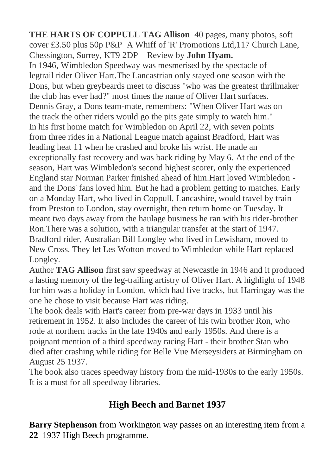**THE HARTS OF COPPULL TAG Allison** 40 pages, many photos, soft cover £3.50 plus 50p P&P A Whiff of 'R' Promotions Ltd,117 Church Lane, Chessington, Surrey, KT9 2DP Review by **John Hyam.** In 1946, Wimbledon Speedway was mesmerised by the spectacle of legtrail rider Oliver Hart.The Lancastrian only stayed one season with the Dons, but when greybeards meet to discuss "who was the greatest thrillmaker the club has ever had?" most times the name of Oliver Hart surfaces. Dennis Gray, a Dons team-mate, remembers: "When Oliver Hart was on the track the other riders would go the pits gate simply to watch him." In his first home match for Wimbledon on April 22, with seven points from three rides in a National League match against Bradford, Hart was leading heat 11 when he crashed and broke his wrist. He made an exceptionally fast recovery and was back riding by May 6. At the end of the season, Hart was Wimbledon's second highest scorer, only the experienced England star Norman Parker finished ahead of him.Hart loved Wimbledon and the Dons' fans loved him. But he had a problem getting to matches. Early on a Monday Hart, who lived in Coppull, Lancashire, would travel by train from Preston to London, stay overnight, then return home on Tuesday. It meant two days away from the haulage business he ran with his rider-brother Ron.There was a solution, with a triangular transfer at the start of 1947. Bradford rider, Australian Bill Longley who lived in Lewisham, moved to New Cross. They let Les Wotton moved to Wimbledon while Hart replaced Longley.

Author **TAG Allison** first saw speedway at Newcastle in 1946 and it produced a lasting memory of the leg-trailing artistry of Oliver Hart. A highlight of 1948 for him was a holiday in London, which had five tracks, but Harringay was the one he chose to visit because Hart was riding.

The book deals with Hart's career from pre-war days in 1933 until his retirement in 1952. It also includes the career of his twin brother Ron, who rode at northern tracks in the late 1940s and early 1950s. And there is a poignant mention of a third speedway racing Hart - their brother Stan who died after crashing while riding for Belle Vue Merseysiders at Birmingham on August 25 1937.

The book also traces speedway history from the mid-1930s to the early 1950s. It is a must for all speedway libraries.

# **High Beech and Barnet 1937**

**Barry Stephenson** from Workington way passes on an interesting item from a **22** 1937 High Beech programme.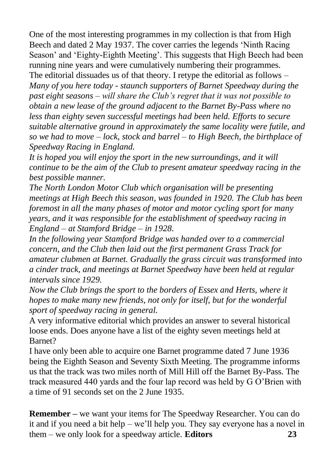One of the most interesting programmes in my collection is that from High Beech and dated 2 May 1937. The cover carries the legends "Ninth Racing Season' and 'Eighty-Eighth Meeting'. This suggests that High Beech had been running nine years and were cumulatively numbering their programmes. The editorial dissuades us of that theory. I retype the editorial as follows – *Many of you here today - staunch supporters of Barnet Speedway during the past eight seasons – will share the Club's regret that it was not possible to obtain a new lease of the ground adjacent to the Barnet By-Pass where no less than eighty seven successful meetings had been held. Efforts to secure suitable alternative ground in approximately the same locality were futile, and so we had to move – lock, stock and barrel – to High Beech, the birthplace of Speedway Racing in England.* 

*It is hoped you will enjoy the sport in the new surroundings, and it will continue to be the aim of the Club to present amateur speedway racing in the best possible manner.*

*The North London Motor Club which organisation will be presenting meetings at High Beech this season, was founded in 1920. The Club has been foremost in all the many phases of motor and motor cycling sport for many years, and it was responsible for the establishment of speedway racing in England – at Stamford Bridge – in 1928.*

*In the following year Stamford Bridge was handed over to a commercial concern, and the Club then laid out the first permanent Grass Track for amateur clubmen at Barnet. Gradually the grass circuit was transformed into a cinder track, and meetings at Barnet Speedway have been held at regular intervals since 1929.*

*Now the Club brings the sport to the borders of Essex and Herts, where it hopes to make many new friends, not only for itself, but for the wonderful sport of speedway racing in general.* 

A very informative editorial which provides an answer to several historical loose ends. Does anyone have a list of the eighty seven meetings held at Barnet?

I have only been able to acquire one Barnet programme dated 7 June 1936 being the Eighth Season and Seventy Sixth Meeting. The programme informs us that the track was two miles north of Mill Hill off the Barnet By-Pass. The track measured 440 yards and the four lap record was held by G O"Brien with a time of 91 seconds set on the 2 June 1935.

**Remember –** we want your items for The Speedway Researcher. You can do it and if you need a bit help – we"ll help you. They say everyone has a novel in them – we only look for a speedway article. **Editors 23**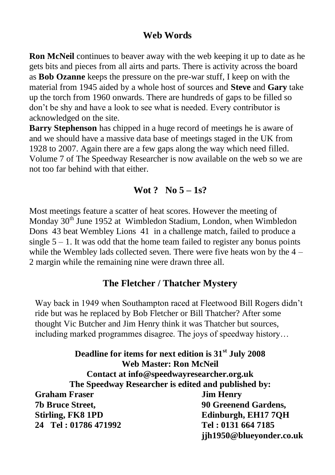## **Web Words**

**Ron McNeil** continues to beaver away with the web keeping it up to date as he gets bits and pieces from all airts and parts. There is activity across the board as **Bob Ozanne** keeps the pressure on the pre-war stuff, I keep on with the material from 1945 aided by a whole host of sources and **Steve** and **Gary** take up the torch from 1960 onwards. There are hundreds of gaps to be filled so don"t be shy and have a look to see what is needed. Every contributor is acknowledged on the site.

**Barry Stephenson** has chipped in a huge record of meetings he is aware of and we should have a massive data base of meetings staged in the UK from 1928 to 2007. Again there are a few gaps along the way which need filled. Volume 7 of The Speedway Researcher is now available on the web so we are not too far behind with that either.

### **Wot ? No 5 – 1s?**

Most meetings feature a scatter of heat scores. However the meeting of Monday 30<sup>th</sup> June 1952 at Wimbledon Stadium, London, when Wimbledon Dons 43 beat Wembley Lions 41 in a challenge match, failed to produce a single  $5 - 1$ . It was odd that the home team failed to register any bonus points while the Wembley lads collected seven. There were five heats won by the  $4 -$ 2 margin while the remaining nine were drawn three all.

### **The Fletcher / Thatcher Mystery**

Way back in 1949 when Southampton raced at Fleetwood Bill Rogers didn"t ride but was he replaced by Bob Fletcher or Bill Thatcher? After some thought Vic Butcher and Jim Henry think it was Thatcher but sources, including marked programmes disagree. The joys of speedway history…

**Deadline for items for next edition is 31st July 2008 Web Master: Ron McNeil Contact at info@speedwayresearcher.org.uk The Speedway Researcher is edited and published by: Graham Fraser Jim Henry 7b Bruce Street, 90 Greenend Gardens, Stirling, FK8 1PD Edinburgh, EH17 7QH 24 Tel : 01786 471992 Tel : 0131 664 7185 jjh1950@blueyonder.co.uk**